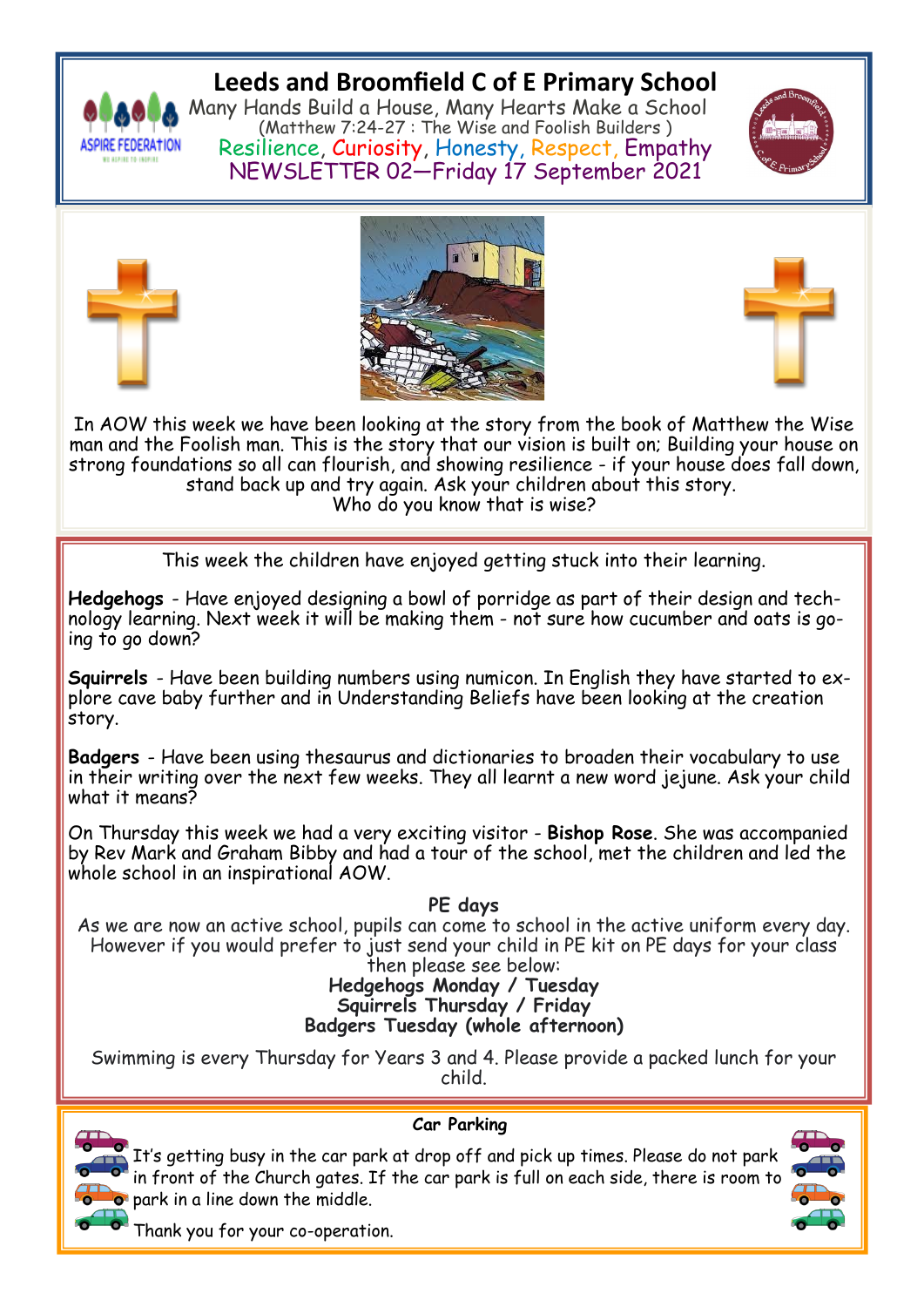

# **Leeds and Broomfield C of E Primary School**

Many Hands Build a House, Many Hearts Make a School (Matthew 7:24-27 : The Wise and Foolish Builders ) Resilience, Curiosity, Honesty, Respect, Empathy NEWSLETTER 02—Friday 17 September 2021









In AOW this week we have been looking at the story from the book of Matthew the Wise man and the Foolish man. This is the story that our vision is built on; Building your house on strong foundations so all can flourish, and showing resilience - if your house does fall down, stand back up and try again. Ask your children about this story. Who do you know that is wise?

This week the children have enjoyed getting stuck into their learning.

**Hedgehogs** - Have enjoyed designing a bowl of porridge as part of their design and technology learning. Next week it will be making them - not sure how cucumber and oats is going to go down?

**Squirrels** - Have been building numbers using numicon. In English they have started to explore cave baby further and in Understanding Beliefs have been looking at the creation story.

**Badgers** - Have been using thesaurus and dictionaries to broaden their vocabulary to use in their writing over the next few weeks. They all learnt a new word jejune. Ask your child what it means?

On Thursday this week we had a very exciting visitor - **Bishop Rose**. She was accompanied by Rev Mark and Graham Bibby and had a tour of the school, met the children and led the whole school in an inspirational AOW.

### **PE days**

As we are now an active school, pupils can come to school in the active uniform every day. However if you would prefer to just send your child in PE kit on PE days for your class then please see below:

### **Hedgehogs Monday / Tuesday Squirrels Thursday / Friday Badgers Tuesday (whole afternoon)**

Swimming is every Thursday for Years 3 and 4. Please provide a packed lunch for your child.



## **Car Parking**

It's getting busy in the car park at drop off and pick up times. Please do not park in front of the Church gates. If the car park is full on each side, there is room to  $\bullet$  park in a line down the middle.



Thank you for your co-operation.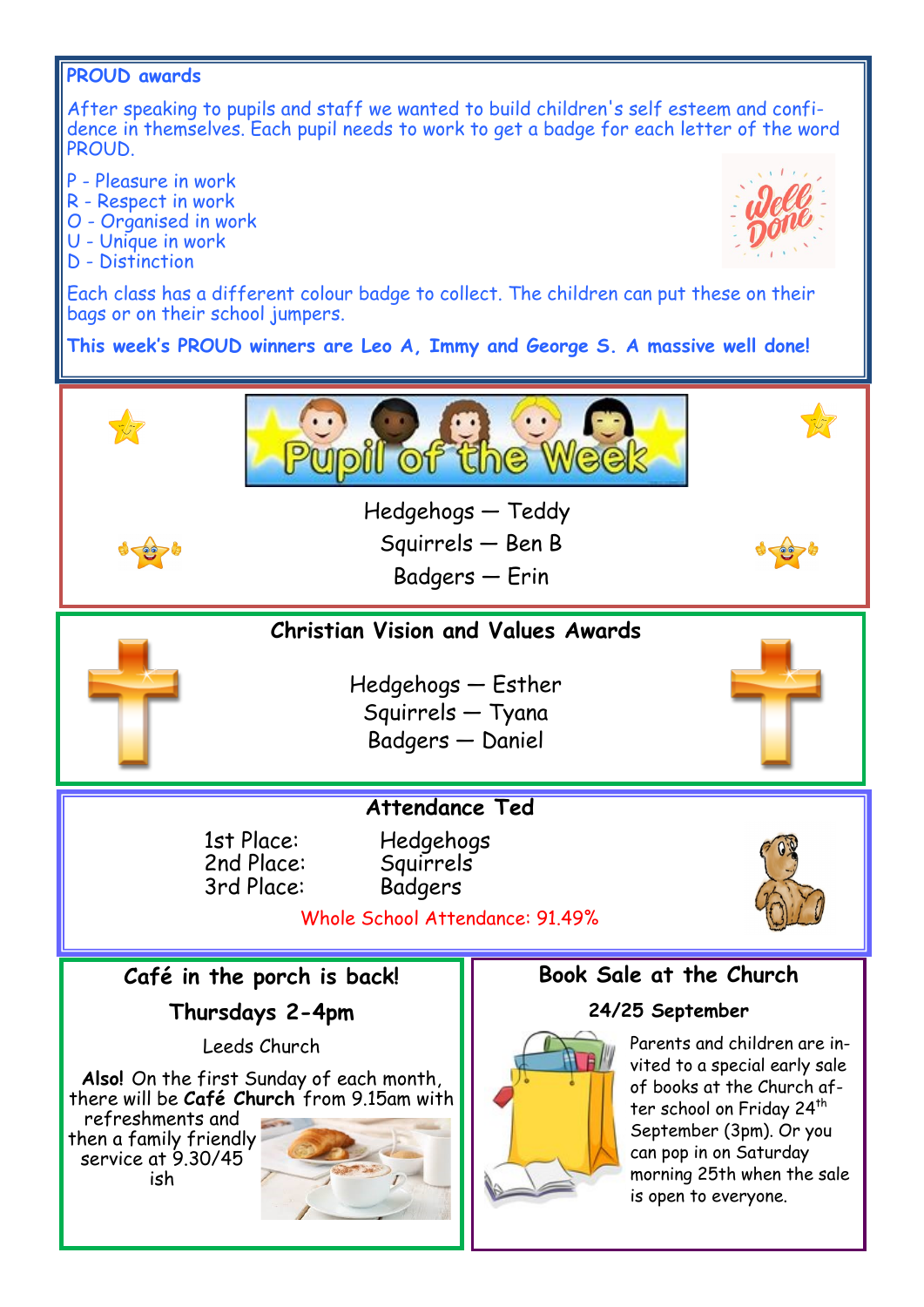### **PROUD awards**

After speaking to pupils and staff we wanted to build children's self esteem and confidence in themselves. Each pupil needs to work to get a badge for each letter of the word PROUD.

P - Pleasure in work

- R Respect in work
- O Organised in work
- U Unique in work
- D Distinction



Each class has a different colour badge to collect. The children can put these on their bags or on their school jumpers.

**This week's PROUD winners are Leo A, Immy and George S. A massive well done!**